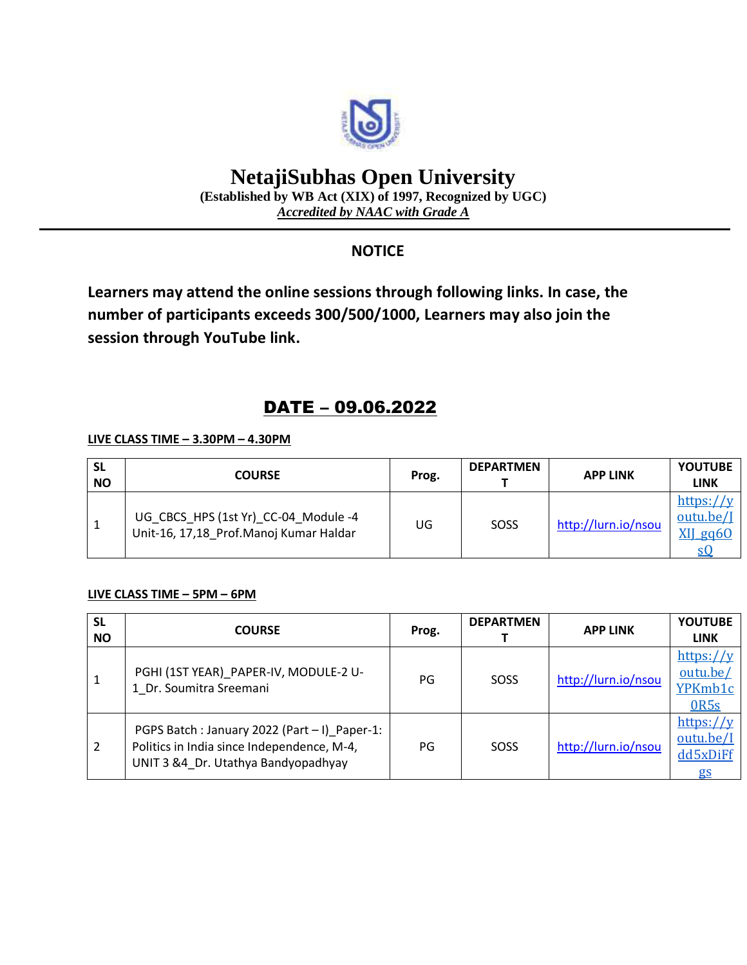

# **NetajiSubhas Open University**

**(Established by WB Act (XIX) of 1997, Recognized by UGC)** *Accredited by NAAC with Grade A*

### **NOTICE**

**Learners may attend the online sessions through following links. In case, the number of participants exceeds 300/500/1000, Learners may also join the session through YouTube link.**

## DATE – 09.06.2022

#### **LIVE CLASS TIME – 3.30PM – 4.30PM**

| <b>SL</b><br><b>NO</b> | <b>COURSE</b>                                                                  | Prog. | <b>DEPARTMEN</b> | <b>APP LINK</b>     | <b>YOUTUBE</b><br><b>LINK</b>     |
|------------------------|--------------------------------------------------------------------------------|-------|------------------|---------------------|-----------------------------------|
|                        | UG_CBCS_HPS (1st Yr)_CC-04_Module -4<br>Unit-16, 17,18 Prof.Manoj Kumar Haldar | UG    | SOSS             | http://lurn.io/nsou | https:// $v$<br>outu.be/J<br>eg60 |

#### **LIVE CLASS TIME – 5PM – 6PM**

| <b>SL</b><br><b>NO</b> | <b>COURSE</b>                                                                                                                     | Prog. | <b>DEPARTMEN</b> | <b>APP LINK</b>     | <b>YOUTUBE</b><br><b>LINK</b>                        |
|------------------------|-----------------------------------------------------------------------------------------------------------------------------------|-------|------------------|---------------------|------------------------------------------------------|
| 1                      | PGHI (1ST YEAR) PAPER-IV, MODULE-2 U-<br>1 Dr. Soumitra Sreemani                                                                  | PG    | SOSS             | http://lurn.io/nsou | https://y<br>outu.be/<br>YPKmb1c<br>0R <sub>5s</sub> |
| 2                      | PGPS Batch: January 2022 (Part - I) Paper-1:<br>Politics in India since Independence, M-4,<br>UNIT 3 &4_Dr. Utathya Bandyopadhyay | PG    | SOSS             | http://lurn.io/nsou | https://y<br>outu.be/I<br>dd5xDiFf<br>gs             |